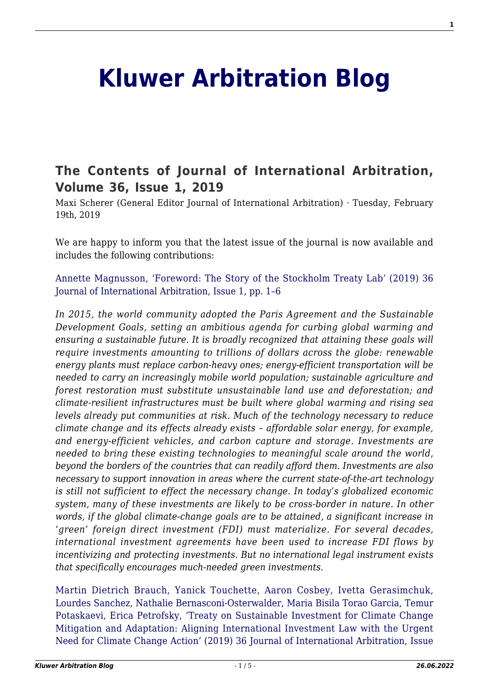## **[Kluwer Arbitration Blog](http://arbitrationblog.kluwerarbitration.com/)**

## **[The Contents of Journal of International Arbitration,](http://arbitrationblog.kluwerarbitration.com/2019/02/19/the-contents-of-journal-of-international-arbitration-volume-36-issue-1-2019/) [Volume 36, Issue 1, 2019](http://arbitrationblog.kluwerarbitration.com/2019/02/19/the-contents-of-journal-of-international-arbitration-volume-36-issue-1-2019/)**

Maxi Scherer (General Editor Journal of International Arbitration) · Tuesday, February 19th, 2019

We are happy to inform you that the latest issue of the journal is now available and includes the following contributions:

[Annette Magnusson, 'Foreword: The Story of the Stockholm Treaty Lab' \(2019\) 36](http://www.kluwerlawonline.com/preview.php?id=JOIA2019001) [Journal of International Arbitration, Issue 1, pp. 1–6](http://www.kluwerlawonline.com/preview.php?id=JOIA2019001)

*In 2015, the world community adopted the Paris Agreement and the Sustainable Development Goals, setting an ambitious agenda for curbing global warming and ensuring a sustainable future. It is broadly recognized that attaining these goals will require investments amounting to trillions of dollars across the globe: renewable energy plants must replace carbon-heavy ones; energy-efficient transportation will be needed to carry an increasingly mobile world population; sustainable agriculture and forest restoration must substitute unsustainable land use and deforestation; and climate-resilient infrastructures must be built where global warming and rising sea levels already put communities at risk. Much of the technology necessary to reduce climate change and its effects already exists – affordable solar energy, for example, and energy-efficient vehicles, and carbon capture and storage. Investments are needed to bring these existing technologies to meaningful scale around the world, beyond the borders of the countries that can readily afford them. Investments are also necessary to support innovation in areas where the current state-of-the-art technology is still not sufficient to effect the necessary change. In today's globalized economic system, many of these investments are likely to be cross-border in nature. In other words, if the global climate-change goals are to be attained, a significant increase in 'green' foreign direct investment (FDI) must materialize. For several decades, international investment agreements have been used to increase FDI flows by incentivizing and protecting investments. But no international legal instrument exists that specifically encourages much-needed green investments.*

[Martin Dietrich Brauch, Yanick Touchette, Aaron Cosbey, Ivetta Gerasimchuk,](http://www.kluwerlawonline.com/preview.php?id=JOIA2019002) [Lourdes Sanchez, Nathalie Bernasconi-Osterwalder, Maria Bisila Torao Garcia, Temur](http://www.kluwerlawonline.com/preview.php?id=JOIA2019002) [Potaskaevi, Erica Petrofsky, 'Treaty on Sustainable Investment for Climate Change](http://www.kluwerlawonline.com/preview.php?id=JOIA2019002) [Mitigation and Adaptation: Aligning International Investment Law with the Urgent](http://www.kluwerlawonline.com/preview.php?id=JOIA2019002) [Need for Climate Change Action' \(2019\) 36 Journal of International Arbitration, Issue](http://www.kluwerlawonline.com/preview.php?id=JOIA2019002)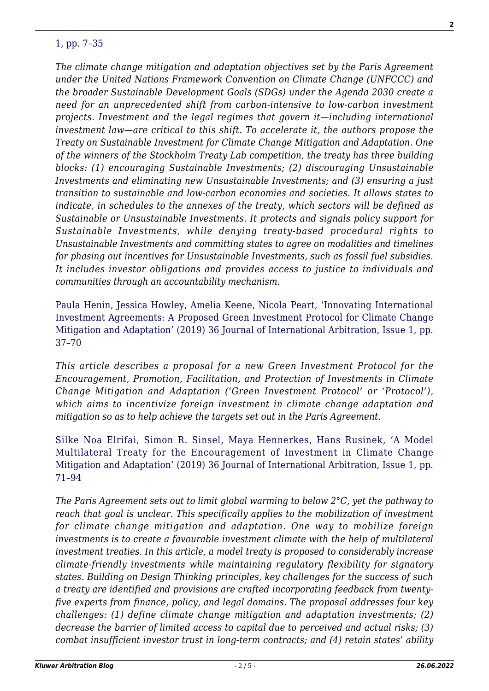## [1, pp. 7–35](http://www.kluwerlawonline.com/preview.php?id=JOIA2019002)

*The climate change mitigation and adaptation objectives set by the Paris Agreement under the United Nations Framework Convention on Climate Change (UNFCCC) and the broader Sustainable Development Goals (SDGs) under the Agenda 2030 create a need for an unprecedented shift from carbon-intensive to low-carbon investment projects. Investment and the legal regimes that govern it—including international investment law—are critical to this shift. To accelerate it, the authors propose the Treaty on Sustainable Investment for Climate Change Mitigation and Adaptation. One of the winners of the Stockholm Treaty Lab competition, the treaty has three building blocks: (1) encouraging Sustainable Investments; (2) discouraging Unsustainable Investments and eliminating new Unsustainable Investments; and (3) ensuring a just transition to sustainable and low-carbon economies and societies. It allows states to indicate, in schedules to the annexes of the treaty, which sectors will be defined as Sustainable or Unsustainable Investments. It protects and signals policy support for Sustainable Investments, while denying treaty-based procedural rights to Unsustainable Investments and committing states to agree on modalities and timelines for phasing out incentives for Unsustainable Investments, such as fossil fuel subsidies. It includes investor obligations and provides access to justice to individuals and communities through an accountability mechanism.*

[Paula Henin, Jessica Howley, Amelia Keene, Nicola Peart, 'Innovating International](http://www.kluwerlawonline.com/preview.php?id=JOIA2019003) [Investment Agreements: A Proposed Green Investment Protocol for Climate Change](http://www.kluwerlawonline.com/preview.php?id=JOIA2019003) [Mitigation and Adaptation' \(2019\) 36 Journal of International Arbitration, Issue 1, pp.](http://www.kluwerlawonline.com/preview.php?id=JOIA2019003) [37–70](http://www.kluwerlawonline.com/preview.php?id=JOIA2019003)

*This article describes a proposal for a new Green Investment Protocol for the Encouragement, Promotion, Facilitation, and Protection of Investments in Climate Change Mitigation and Adaptation ('Green Investment Protocol' or 'Protocol'), which aims to incentivize foreign investment in climate change adaptation and mitigation so as to help achieve the targets set out in the Paris Agreement.*

[Silke Noa Elrifai, Simon R. Sinsel, Maya Hennerkes, Hans Rusinek, 'A Model](http://www.kluwerlawonline.com/preview.php?id=JOIA2019004) [Multilateral Treaty for the Encouragement of Investment in Climate Change](http://www.kluwerlawonline.com/preview.php?id=JOIA2019004) [Mitigation and Adaptation' \(2019\) 36 Journal of International Arbitration, Issue 1, pp.](http://www.kluwerlawonline.com/preview.php?id=JOIA2019004) [71–94](http://www.kluwerlawonline.com/preview.php?id=JOIA2019004)

*The Paris Agreement sets out to limit global warming to below 2°C, yet the pathway to reach that goal is unclear. This specifically applies to the mobilization of investment for climate change mitigation and adaptation. One way to mobilize foreign investments is to create a favourable investment climate with the help of multilateral investment treaties. In this article, a model treaty is proposed to considerably increase climate-friendly investments while maintaining regulatory flexibility for signatory states. Building on Design Thinking principles, key challenges for the success of such a treaty are identified and provisions are crafted incorporating feedback from twentyfive experts from finance, policy, and legal domains. The proposal addresses four key challenges: (1) define climate change mitigation and adaptation investments; (2) decrease the barrier of limited access to capital due to perceived and actual risks; (3) combat insufficient investor trust in long-term contracts; and (4) retain states' ability*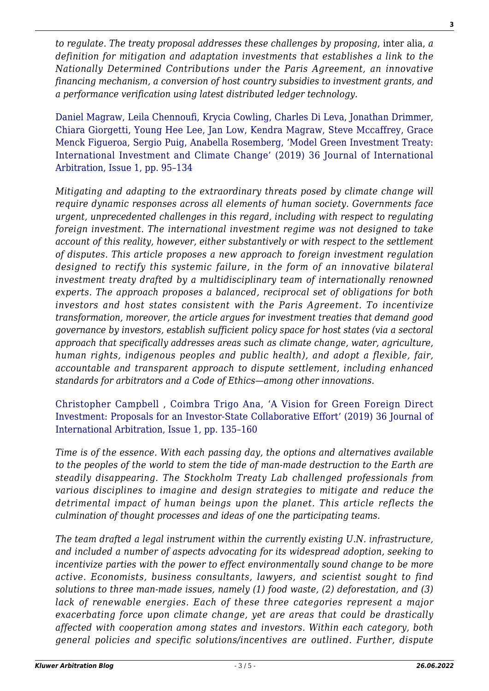*to regulate. The treaty proposal addresses these challenges by proposing*, inter alia, *a definition for mitigation and adaptation investments that establishes a link to the Nationally Determined Contributions under the Paris Agreement, an innovative financing mechanism, a conversion of host country subsidies to investment grants, and a performance verification using latest distributed ledger technology.*

[Daniel Magraw, Leila Chennoufi, Krycia Cowling, Charles Di Leva, Jonathan Drimmer,](http://www.kluwerlawonline.com/preview.php?id=JOIA2019005) [Chiara Giorgetti, Young Hee Lee, Jan Low, Kendra Magraw, Steve Mccaffrey, Grace](http://www.kluwerlawonline.com/preview.php?id=JOIA2019005) [Menck Figueroa, Sergio Puig, Anabella Rosemberg, 'Model Green Investment Treaty:](http://www.kluwerlawonline.com/preview.php?id=JOIA2019005) [International Investment and Climate Change' \(2019\) 36 Journal of International](http://www.kluwerlawonline.com/preview.php?id=JOIA2019005) [Arbitration, Issue 1, pp. 95–134](http://www.kluwerlawonline.com/preview.php?id=JOIA2019005)

*Mitigating and adapting to the extraordinary threats posed by climate change will require dynamic responses across all elements of human society. Governments face urgent, unprecedented challenges in this regard, including with respect to regulating foreign investment. The international investment regime was not designed to take account of this reality, however, either substantively or with respect to the settlement of disputes. This article proposes a new approach to foreign investment regulation designed to rectify this systemic failure, in the form of an innovative bilateral investment treaty drafted by a multidisciplinary team of internationally renowned experts. The approach proposes a balanced, reciprocal set of obligations for both investors and host states consistent with the Paris Agreement. To incentivize transformation, moreover, the article argues for investment treaties that demand good governance by investors, establish sufficient policy space for host states (via a sectoral approach that specifically addresses areas such as climate change, water, agriculture, human rights, indigenous peoples and public health), and adopt a flexible, fair, accountable and transparent approach to dispute settlement, including enhanced standards for arbitrators and a Code of Ethics—among other innovations.*

[Christopher Campbell , Coimbra Trigo Ana, 'A Vision for Green Foreign Direct](http://www.kluwerlawonline.com/preview.php?id=JOIA2019006) [Investment: Proposals for an Investor-State Collaborative Effort' \(2019\) 36 Journal of](http://www.kluwerlawonline.com/preview.php?id=JOIA2019006) [International Arbitration, Issue 1, pp. 135–160](http://www.kluwerlawonline.com/preview.php?id=JOIA2019006)

*Time is of the essence. With each passing day, the options and alternatives available to the peoples of the world to stem the tide of man-made destruction to the Earth are steadily disappearing. The Stockholm Treaty Lab challenged professionals from various disciplines to imagine and design strategies to mitigate and reduce the detrimental impact of human beings upon the planet. This article reflects the culmination of thought processes and ideas of one the participating teams.*

*The team drafted a legal instrument within the currently existing U.N. infrastructure, and included a number of aspects advocating for its widespread adoption, seeking to incentivize parties with the power to effect environmentally sound change to be more active. Economists, business consultants, lawyers, and scientist sought to find solutions to three man-made issues, namely (1) food waste, (2) deforestation, and (3) lack of renewable energies. Each of these three categories represent a major exacerbating force upon climate change, yet are areas that could be drastically affected with cooperation among states and investors. Within each category, both general policies and specific solutions/incentives are outlined. Further, dispute*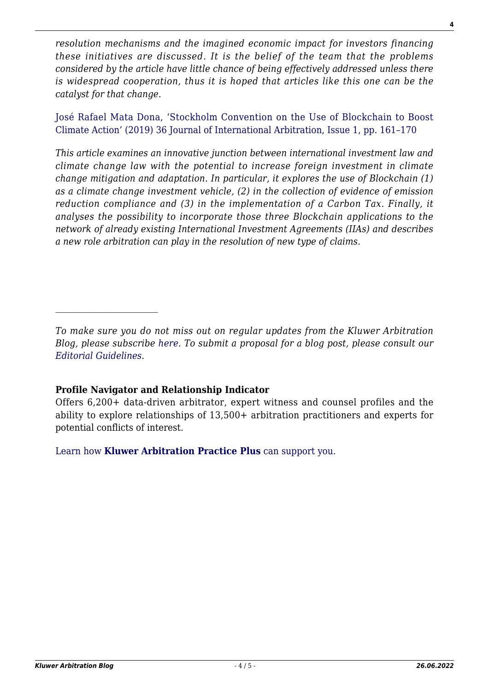*resolution mechanisms and the imagined economic impact for investors financing these initiatives are discussed. It is the belief of the team that the problems considered by the article have little chance of being effectively addressed unless there is widespread cooperation, thus it is hoped that articles like this one can be the catalyst for that change.*

[José Rafael Mata Dona, 'Stockholm Convention on the Use of Blockchain to Boost](http://www.kluwerlawonline.com/preview.php?id=JOIA2019007) [Climate Action' \(2019\) 36 Journal of International Arbitration, Issue 1, pp. 161–170](http://www.kluwerlawonline.com/preview.php?id=JOIA2019007)

*This article examines an innovative junction between international investment law and climate change law with the potential to increase foreign investment in climate change mitigation and adaptation. In particular, it explores the use of Blockchain (1) as a climate change investment vehicle, (2) in the collection of evidence of emission reduction compliance and (3) in the implementation of a Carbon Tax. Finally, it analyses the possibility to incorporate those three Blockchain applications to the network of already existing International Investment Agreements (IIAs) and describes a new role arbitration can play in the resolution of new type of claims.*

*To make sure you do not miss out on regular updates from the Kluwer Arbitration Blog, please subscribe [here](http://arbitrationblog.kluwerarbitration.com/newsletter/). To submit a proposal for a blog post, please consult our [Editorial Guidelines.](http://arbitrationblog.kluwerarbitration.com/editorial-guidelines/)*

## **Profile Navigator and Relationship Indicator**

Offers 6,200+ data-driven arbitrator, expert witness and counsel profiles and the ability to explore relationships of 13,500+ arbitration practitioners and experts for potential conflicts of interest.

[Learn how](https://www.wolterskluwer.com/en/solutions/kluwerarbitration/practiceplus?utm_source=arbitrationblog&utm_medium=articleCTA&utm_campaign=article-banner) **[Kluwer Arbitration Practice Plus](https://www.wolterskluwer.com/en/solutions/kluwerarbitration/practiceplus?utm_source=arbitrationblog&utm_medium=articleCTA&utm_campaign=article-banner)** [can support you.](https://www.wolterskluwer.com/en/solutions/kluwerarbitration/practiceplus?utm_source=arbitrationblog&utm_medium=articleCTA&utm_campaign=article-banner)